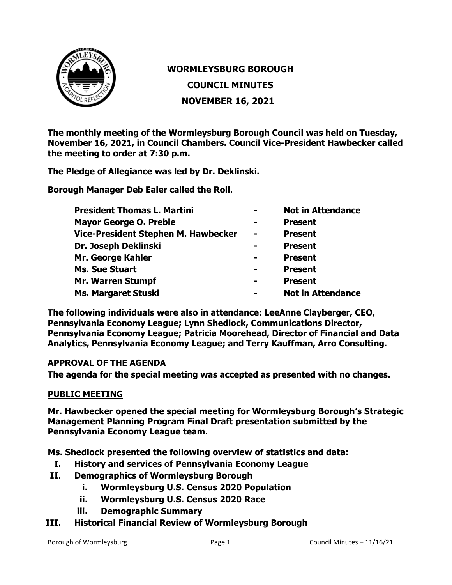

## **WORMLEYSBURG BOROUGH COUNCIL MINUTES NOVEMBER 16, 2021**

**The monthly meeting of the Wormleysburg Borough Council was held on Tuesday, November 16, 2021, in Council Chambers. Council Vice-President Hawbecker called the meeting to order at 7:30 p.m.**

**The Pledge of Allegiance was led by Dr. Deklinski.**

**Borough Manager Deb Ealer called the Roll.**

| <b>President Thomas L. Martini</b>  | $\blacksquare$ | <b>Not in Attendance</b> |
|-------------------------------------|----------------|--------------------------|
| <b>Mayor George O. Preble</b>       | $\blacksquare$ | <b>Present</b>           |
| Vice-President Stephen M. Hawbecker | $\blacksquare$ | <b>Present</b>           |
| Dr. Joseph Deklinski                | -              | <b>Present</b>           |
| Mr. George Kahler                   | -              | <b>Present</b>           |
| <b>Ms. Sue Stuart</b>               | -              | <b>Present</b>           |
| <b>Mr. Warren Stumpf</b>            | -              | <b>Present</b>           |
| <b>Ms. Margaret Stuski</b>          | $\blacksquare$ | <b>Not in Attendance</b> |

**The following individuals were also in attendance: LeeAnne Clayberger, CEO, Pennsylvania Economy League; Lynn Shedlock, Communications Director, Pennsylvania Economy League; Patricia Moorehead, Director of Financial and Data Analytics, Pennsylvania Economy League; and Terry Kauffman, Arro Consulting.**

## **APPROVAL OF THE AGENDA**

**The agenda for the special meeting was accepted as presented with no changes.**

## **PUBLIC MEETING**

**Mr. Hawbecker opened the special meeting for Wormleysburg Borough's Strategic Management Planning Program Final Draft presentation submitted by the Pennsylvania Economy League team.**

**Ms. Shedlock presented the following overview of statistics and data:**

- **I. History and services of Pennsylvania Economy League**
- **II. Demographics of Wormleysburg Borough**
	- **i. Wormleysburg U.S. Census 2020 Population**
	- **ii. Wormleysburg U.S. Census 2020 Race**
	- **iii. Demographic Summary**
- **III. Historical Financial Review of Wormleysburg Borough**